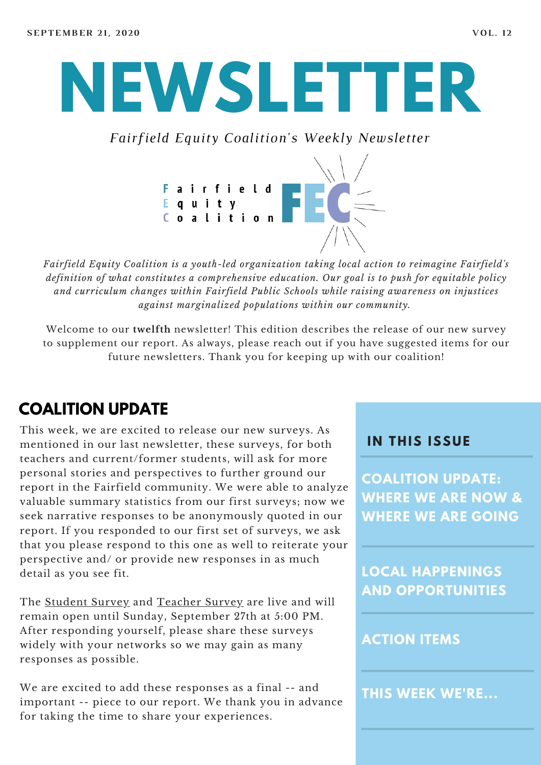# **NEWSLETTER**

*Fairfield Equity Coalition's Weekly Newsletter*



*Fairfield Equity Coalition is a youth-led organization taking local action to reimagine Fairfield's definition of what constitutes a comprehensive education. Our goal is to push for equitable policy and curriculum changes within Fairfield Public Schools while raising awareness on injustices against marginalized populations within our community.*

Welcome to our **twelfth** newsletter! This edition describes the release of our new survey to supplement our report. As always, please reach out if you have suggested items for our future newsletters. Thank you for keeping up with our coalition!

## **COALITION UPDATE**

This week, we are excited to release our new surveys. As mentioned in our last newsletter, these surveys, for both teachers and current/former students, will ask for more personal stories and perspectives to further ground our report in the Fairfield community. We were able to analyze valuable summary statistics from our first surveys; now we seek narrative responses to be anonymously quoted in our report. If you responded to our first set of surveys, we ask that you please respond to this one as well to reiterate your perspective and/ or provide new responses in as much detail as you see fit.

The [Student](https://docs.google.com/forms/d/e/1FAIpQLSfCpTO2tLdqw7BJ1YVOzD8Nc0ZyJfr2phShr-UFcAWGnov_tg/viewform) Survey and [Teacher](https://docs.google.com/forms/d/e/1FAIpQLSdifQJcebGw4SBDf0-HPtaQuekBZpXhW8dZB85auYQIkE7g0A/viewform) Survey are live and will remain open until Sunday, September 27th at 5:00 PM. After responding yourself, please share these surveys widely with your networks so we may gain as many responses as possible.

We are excited to add these responses as a final -- and important -- piece to our report. We thank you in advance for taking the time to share your experiences.

#### **I N THIS ISSUE**

**COALITION UPDATE: WHERE WE ARE NOW & WHERE WE ARE GOING**

**LOCAL HAPPENINGS AND OPPORTUNITIES**

#### **ACTION ITEMS**

**THIS WEEK WE'RE...**